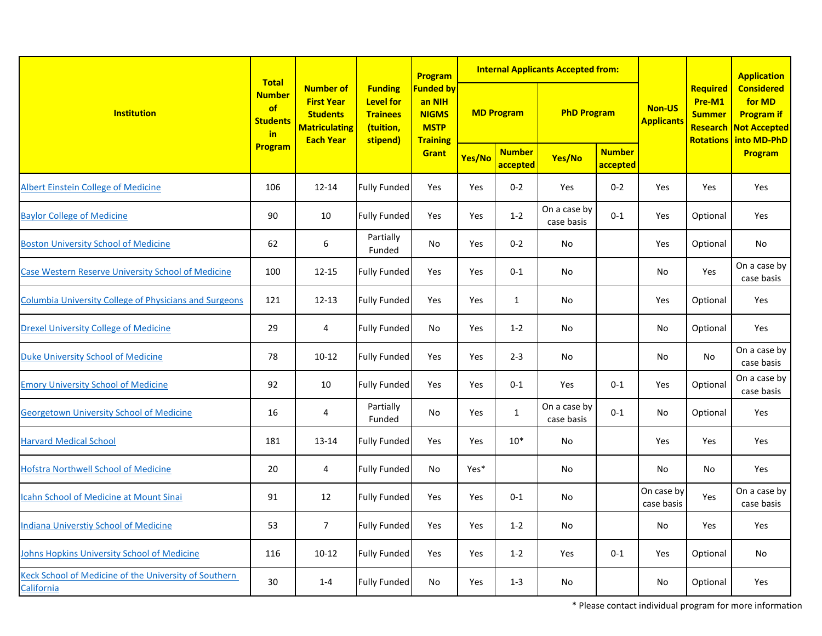| <b>Institution</b>                                                  | <b>Total</b>                                            |                                                                                                      | <b>Funding</b><br><b>Level for</b><br><b>Trainees</b><br>(tuition,<br>stipend) | Program<br><b>Funded by</b><br>an NIH<br><b>NIGMS</b><br><b>MSTP</b><br><b>Training</b> | <b>Internal Applicants Accepted from:</b> |                           |                            |                           |                                    |                                                                                   | <b>Application</b>                                               |
|---------------------------------------------------------------------|---------------------------------------------------------|------------------------------------------------------------------------------------------------------|--------------------------------------------------------------------------------|-----------------------------------------------------------------------------------------|-------------------------------------------|---------------------------|----------------------------|---------------------------|------------------------------------|-----------------------------------------------------------------------------------|------------------------------------------------------------------|
|                                                                     | <b>Number</b><br>of<br><b>Students</b><br>in<br>Program | <b>Number of</b><br><b>First Year</b><br><b>Students</b><br><b>Matriculating</b><br><b>Each Year</b> |                                                                                |                                                                                         | <b>MD Program</b>                         |                           | <b>PhD Program</b>         |                           | <b>Non-US</b><br><b>Applicants</b> | Required<br>Pre-M1<br><b>Summer</b><br>Research<br><b>Rotations   into MD-PhD</b> | <b>Considered</b><br>for MD<br><b>Program if</b><br>Not Accepted |
|                                                                     |                                                         |                                                                                                      |                                                                                | Grant                                                                                   | Yes/No                                    | <b>Number</b><br>accepted | Yes/No                     | <b>Number</b><br>accepted |                                    |                                                                                   | Program                                                          |
| <b>Albert Einstein College of Medicine</b>                          | 106                                                     | $12 - 14$                                                                                            | <b>Fully Funded</b>                                                            | Yes                                                                                     | Yes                                       | $0 - 2$                   | Yes                        | $0 - 2$                   | Yes                                | Yes                                                                               | Yes                                                              |
| <b>Baylor College of Medicine</b>                                   | 90                                                      | 10                                                                                                   | <b>Fully Funded</b>                                                            | Yes                                                                                     | Yes                                       | $1 - 2$                   | On a case by<br>case basis | $0 - 1$                   | Yes                                | Optional                                                                          | Yes                                                              |
| <b>Boston University School of Medicine</b>                         | 62                                                      | 6                                                                                                    | Partially<br>Funded                                                            | No                                                                                      | Yes                                       | $0 - 2$                   | No                         |                           | Yes                                | Optional                                                                          | No                                                               |
| Case Western Reserve University School of Medicine                  | 100                                                     | $12 - 15$                                                                                            | Fully Funded                                                                   | Yes                                                                                     | Yes                                       | $0 - 1$                   | No                         |                           | No                                 | Yes                                                                               | On a case by<br>case basis                                       |
| <b>Columbia University College of Physicians and Surgeons</b>       | 121                                                     | $12 - 13$                                                                                            | <b>Fully Funded</b>                                                            | Yes                                                                                     | Yes                                       | $\mathbf{1}$              | No                         |                           | Yes                                | Optional                                                                          | Yes                                                              |
| <b>Drexel University College of Medicine</b>                        | 29                                                      | $\overline{a}$                                                                                       | Fully Funded                                                                   | No                                                                                      | Yes                                       | $1 - 2$                   | No                         |                           | No                                 | Optional                                                                          | Yes                                                              |
| <b>Duke University School of Medicine</b>                           | 78                                                      | $10 - 12$                                                                                            | <b>Fully Funded</b>                                                            | Yes                                                                                     | Yes                                       | $2 - 3$                   | No                         |                           | No                                 | No                                                                                | On a case by<br>case basis                                       |
| <b>Emory University School of Medicine</b>                          | 92                                                      | 10                                                                                                   | <b>Fully Funded</b>                                                            | Yes                                                                                     | Yes                                       | $0 - 1$                   | Yes                        | $0 - 1$                   | Yes                                | Optional                                                                          | On a case by<br>case basis                                       |
| <b>Georgetown University School of Medicine</b>                     | 16                                                      | 4                                                                                                    | Partially<br>Funded                                                            | <b>No</b>                                                                               | Yes                                       | $\mathbf{1}$              | On a case by<br>case basis | $0 - 1$                   | No                                 | Optional                                                                          | Yes                                                              |
| <b>Harvard Medical School</b>                                       | 181                                                     | $13 - 14$                                                                                            | Fully Funded                                                                   | Yes                                                                                     | Yes                                       | $10*$                     | No                         |                           | Yes                                | Yes                                                                               | Yes                                                              |
| <b>Hofstra Northwell School of Medicine</b>                         | 20                                                      | 4                                                                                                    | Fully Funded                                                                   | No                                                                                      | Yes*                                      |                           | No                         |                           | No                                 | No                                                                                | Yes                                                              |
| <b>Icahn School of Medicine at Mount Sinai</b>                      | 91                                                      | 12                                                                                                   | Fully Funded                                                                   | Yes                                                                                     | Yes                                       | $0-1$                     | No                         |                           | On case by<br>case basis           | Yes                                                                               | On a case by<br>case basis                                       |
| Indiana Universtiy School of Medicine                               | 53                                                      | $\overline{7}$                                                                                       | <b>Fully Funded</b>                                                            | Yes                                                                                     | Yes                                       | $1 - 2$                   | No                         |                           | No                                 | Yes                                                                               | Yes                                                              |
| Johns Hopkins University School of Medicine                         | 116                                                     | $10-12$                                                                                              | <b>Fully Funded</b>                                                            | Yes                                                                                     | Yes                                       | $1 - 2$                   | Yes                        | $0 - 1$                   | Yes                                | Optional                                                                          | No                                                               |
| Keck School of Medicine of the University of Southern<br>California | 30                                                      | $1 - 4$                                                                                              | <b>Fully Funded</b>                                                            | No                                                                                      | Yes                                       | $1 - 3$                   | No                         |                           | No                                 | Optional                                                                          | Yes                                                              |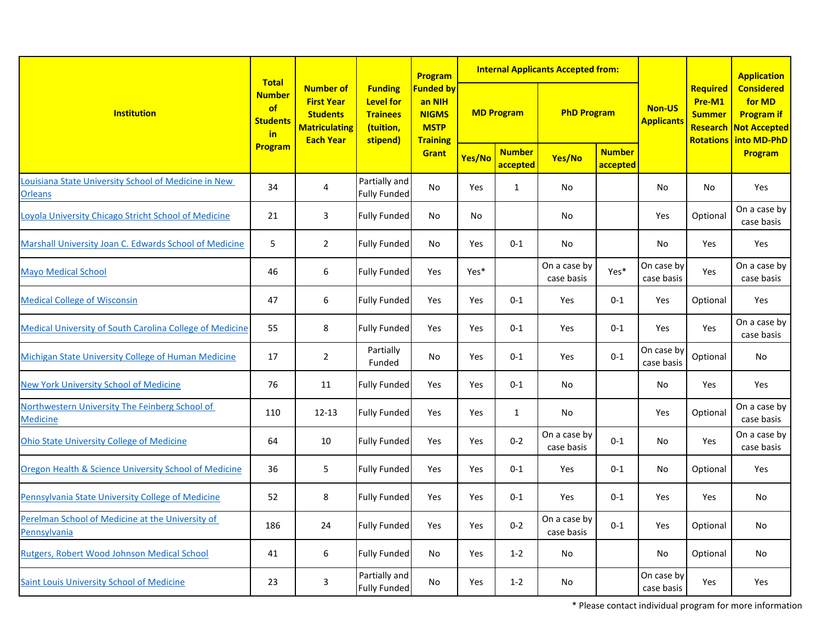| <b>Institution</b>                                                     | <b>Total</b>                                            |                                                                                                      |                                                                                | Program<br><b>Funded by</b><br>an NIH<br><b>NIGMS</b><br><b>MSTP</b><br><b>Training</b> | <b>Internal Applicants Accepted from:</b> |                           |                            |                           |                             |                                                                     | <b>Application</b>                                                              |
|------------------------------------------------------------------------|---------------------------------------------------------|------------------------------------------------------------------------------------------------------|--------------------------------------------------------------------------------|-----------------------------------------------------------------------------------------|-------------------------------------------|---------------------------|----------------------------|---------------------------|-----------------------------|---------------------------------------------------------------------|---------------------------------------------------------------------------------|
|                                                                        | <b>Number</b><br>of<br><b>Students</b><br>in<br>Program | <b>Number of</b><br><b>First Year</b><br><b>Students</b><br><b>Matriculating</b><br><b>Each Year</b> | <b>Funding</b><br><b>Level for</b><br><b>Trainees</b><br>(tuition,<br>stipend) |                                                                                         | <b>MD Program</b>                         |                           | <b>PhD Program</b>         |                           | Non-US<br><b>Applicants</b> | Required<br>Pre-M1<br><b>Summer</b><br>Research<br><b>Rotations</b> | <b>Considered</b><br>for MD<br><b>Program if</b><br>Not Accepted<br>into MD-PhD |
|                                                                        |                                                         |                                                                                                      |                                                                                | Grant                                                                                   | Yes/No                                    | <b>Number</b><br>accepted | Yes/No                     | <b>Number</b><br>accepted |                             |                                                                     | <b>Program</b>                                                                  |
| Louisiana State University School of Medicine in New<br><b>Orleans</b> | 34                                                      | 4                                                                                                    | Partially and<br><b>Fully Funded</b>                                           | <b>No</b>                                                                               | Yes                                       | $\mathbf{1}$              | No                         |                           | No                          | No                                                                  | Yes                                                                             |
| Loyola University Chicago Stricht School of Medicine                   | 21                                                      | $\mathbf{3}$                                                                                         | Fully Funded                                                                   | No                                                                                      | No                                        |                           | No                         |                           | Yes                         | Optional                                                            | On a case by<br>case basis                                                      |
| Marshall University Joan C. Edwards School of Medicine                 | 5                                                       | $\overline{2}$                                                                                       | <b>Fully Funded</b>                                                            | No                                                                                      | Yes                                       | $0 - 1$                   | No                         |                           | No                          | Yes                                                                 | Yes                                                                             |
| <b>Mayo Medical School</b>                                             | 46                                                      | 6                                                                                                    | Fully Funded                                                                   | Yes                                                                                     | Yes*                                      |                           | On a case by<br>case basis | Yes*                      | On case by<br>case basis    | Yes                                                                 | On a case by<br>case basis                                                      |
| <b>Medical College of Wisconsin</b>                                    | 47                                                      | $\boldsymbol{6}$                                                                                     | <b>Fully Funded</b>                                                            | Yes                                                                                     | Yes                                       | $0-1$                     | Yes                        | $0 - 1$                   | Yes                         | Optional                                                            | Yes                                                                             |
| <b>Medical University of South Carolina College of Medicine</b>        | 55                                                      | 8                                                                                                    | <b>Fully Funded</b>                                                            | Yes                                                                                     | Yes                                       | $0 - 1$                   | Yes                        | $0 - 1$                   | Yes                         | Yes                                                                 | On a case by<br>case basis                                                      |
| Michigan State University College of Human Medicine                    | 17                                                      | $\overline{2}$                                                                                       | Partially<br>Funded                                                            | No                                                                                      | Yes                                       | $0 - 1$                   | Yes                        | $0 - 1$                   | On case by<br>case basis    | Optional                                                            | No                                                                              |
| <b>New York University School of Medicine</b>                          | 76                                                      | 11                                                                                                   | Fully Funded                                                                   | Yes                                                                                     | Yes                                       | $0 - 1$                   | No                         |                           | No                          | Yes                                                                 | Yes                                                                             |
| Northwestern University The Feinberg School of<br><b>Medicine</b>      | 110                                                     | $12 - 13$                                                                                            | <b>Fully Funded</b>                                                            | Yes                                                                                     | Yes                                       | $\mathbf{1}$              | No                         |                           | Yes                         | Optional                                                            | On a case by<br>case basis                                                      |
| <b>Ohio State University College of Medicine</b>                       | 64                                                      | 10                                                                                                   | Fully Funded                                                                   | Yes                                                                                     | Yes                                       | $0 - 2$                   | On a case by<br>case basis | $0 - 1$                   | No                          | Yes                                                                 | On a case by<br>case basis                                                      |
| Oregon Health & Science University School of Medicine                  | 36                                                      | 5                                                                                                    | <b>Fully Funded</b>                                                            | Yes                                                                                     | Yes                                       | $0 - 1$                   | Yes                        | $0 - 1$                   | No                          | Optional                                                            | Yes                                                                             |
| Pennsylvania State University College of Medicine                      | 52                                                      | 8                                                                                                    | Fully Funded                                                                   | Yes                                                                                     | Yes                                       | $0 - 1$                   | Yes                        | $0 - 1$                   | Yes                         | Yes                                                                 | No                                                                              |
| Perelman School of Medicine at the University of<br>Pennsylvania       | 186                                                     | 24                                                                                                   | <b>Fully Funded</b>                                                            | Yes                                                                                     | Yes                                       | $0 - 2$                   | On a case by<br>case basis | $0 - 1$                   | Yes                         | Optional                                                            | No                                                                              |
| Rutgers, Robert Wood Johnson Medical School                            | 41                                                      | 6                                                                                                    | Fully Funded                                                                   | No                                                                                      | Yes                                       | $1 - 2$                   | No                         |                           | No                          | Optional                                                            | No                                                                              |
| Saint Louis University School of Medicine                              | 23                                                      | 3                                                                                                    | Partially and<br><b>Fully Funded</b>                                           | No                                                                                      | Yes                                       | $1 - 2$                   | No                         |                           | On case by<br>case basis    | Yes                                                                 | Yes                                                                             |

\* Please contact individual program for more information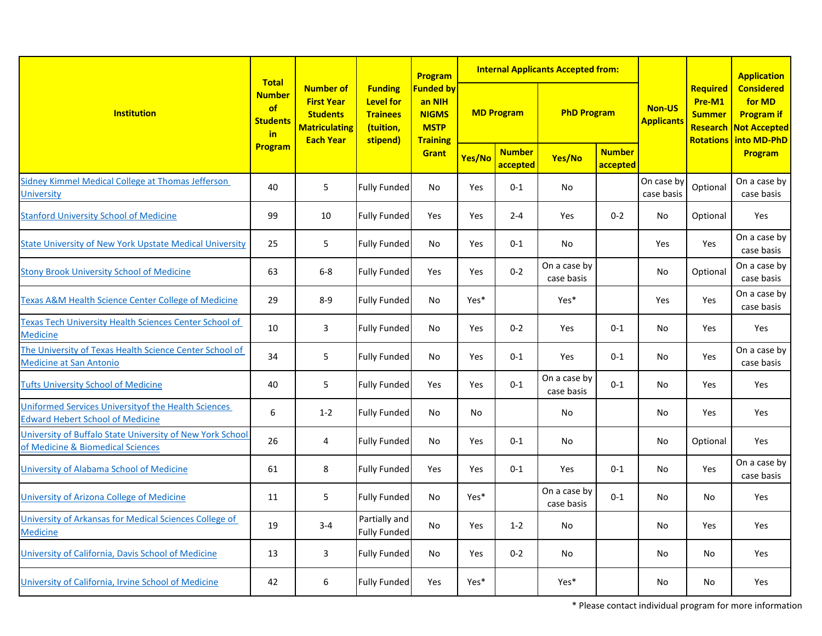| <b>Institution</b>                                                                              | <b>Total</b>                                 |                                                                                                      |                                                                                | Program                                                                               |                   |                           | <b>Internal Applicants Accepted from:</b> |                           |                             |                                                                     | <b>Application</b>                                                              |
|-------------------------------------------------------------------------------------------------|----------------------------------------------|------------------------------------------------------------------------------------------------------|--------------------------------------------------------------------------------|---------------------------------------------------------------------------------------|-------------------|---------------------------|-------------------------------------------|---------------------------|-----------------------------|---------------------------------------------------------------------|---------------------------------------------------------------------------------|
|                                                                                                 | <b>Number</b><br>of<br><b>Students</b><br>in | <b>Number of</b><br><b>First Year</b><br><b>Students</b><br><b>Matriculating</b><br><b>Each Year</b> | <b>Funding</b><br><b>Level for</b><br><b>Trainees</b><br>(tuition,<br>stipend) | <b>Funded by</b><br>an NIH<br><b>NIGMS</b><br><b>MSTP</b><br><b>Training</b><br>Grant | <b>MD Program</b> |                           | <b>PhD Program</b>                        |                           | Non-US<br><b>Applicants</b> | Required<br>Pre-M1<br><b>Summer</b><br>Research<br><b>Rotations</b> | <b>Considered</b><br>for MD<br><b>Program if</b><br>Not Accepted<br>into MD-PhD |
|                                                                                                 | Program                                      |                                                                                                      |                                                                                |                                                                                       | Yes/No            | <b>Number</b><br>accepted | Yes/No                                    | <b>Number</b><br>accepted |                             |                                                                     | <b>Program</b>                                                                  |
| Sidney Kimmel Medical College at Thomas Jefferson<br><b>University</b>                          | 40                                           | 5                                                                                                    | <b>Fully Funded</b>                                                            | No                                                                                    | Yes               | $0 - 1$                   | No                                        |                           | On case by<br>case basis    | Optional                                                            | On a case by<br>case basis                                                      |
| <b>Stanford University School of Medicine</b>                                                   | 99                                           | 10                                                                                                   | <b>Fully Funded</b>                                                            | Yes                                                                                   | Yes               | $2 - 4$                   | Yes                                       | $0 - 2$                   | No                          | Optional                                                            | Yes                                                                             |
| <b>State University of New York Upstate Medical University</b>                                  | 25                                           | 5                                                                                                    | <b>Fully Funded</b>                                                            | No                                                                                    | Yes               | $0-1$                     | No                                        |                           | Yes                         | Yes                                                                 | On a case by<br>case basis                                                      |
| <b>Stony Brook University School of Medicine</b>                                                | 63                                           | $6-8$                                                                                                | Fully Funded                                                                   | Yes                                                                                   | Yes               | $0 - 2$                   | On a case by<br>case basis                |                           | No                          | Optional                                                            | On a case by<br>case basis                                                      |
| <b>Texas A&amp;M Health Science Center College of Medicine</b>                                  | 29                                           | $8 - 9$                                                                                              | <b>Fully Funded</b>                                                            | No                                                                                    | Yes*              |                           | Yes*                                      |                           | Yes                         | Yes                                                                 | On a case by<br>case basis                                                      |
| Texas Tech University Health Sciences Center School of<br><b>Medicine</b>                       | 10                                           | 3                                                                                                    | <b>Fully Funded</b>                                                            | No                                                                                    | Yes               | $0 - 2$                   | Yes                                       | $0 - 1$                   | No                          | Yes                                                                 | Yes                                                                             |
| The University of Texas Health Science Center School of<br><b>Medicine at San Antonio</b>       | 34                                           | 5                                                                                                    | <b>Fully Funded</b>                                                            | No                                                                                    | Yes               | $0-1$                     | Yes                                       | $0 - 1$                   | No                          | Yes                                                                 | On a case by<br>case basis                                                      |
| <b>Tufts University School of Medicine</b>                                                      | 40                                           | 5                                                                                                    | <b>Fully Funded</b>                                                            | Yes                                                                                   | Yes               | $0 - 1$                   | On a case by<br>case basis                | $0 - 1$                   | No                          | Yes                                                                 | Yes                                                                             |
| Uniformed Services University of the Health Sciences<br><b>Edward Hebert School of Medicine</b> | $\boldsymbol{6}$                             | $1 - 2$                                                                                              | <b>Fully Funded</b>                                                            | No                                                                                    | No                |                           | No                                        |                           | No                          | Yes                                                                 | Yes                                                                             |
| University of Buffalo State University of New York School<br>of Medicine & Biomedical Sciences  | 26                                           | 4                                                                                                    | Fully Funded                                                                   | No                                                                                    | Yes               | $0 - 1$                   | No                                        |                           | No                          | Optional                                                            | Yes                                                                             |
| University of Alabama School of Medicine                                                        | 61                                           | 8                                                                                                    | <b>Fully Funded</b>                                                            | Yes                                                                                   | Yes               | $0 - 1$                   | Yes                                       | $0 - 1$                   | No                          | Yes                                                                 | On a case by<br>case basis                                                      |
| University of Arizona College of Medicine                                                       | 11                                           | 5                                                                                                    | <b>Fully Funded</b>                                                            | No                                                                                    | Yes*              |                           | On a case by<br>case basis                | $0 - 1$                   | No                          | No                                                                  | Yes                                                                             |
| University of Arkansas for Medical Sciences College of<br><b>Medicine</b>                       | 19                                           | $3 - 4$                                                                                              | Partially and<br><b>Fully Funded</b>                                           | No                                                                                    | Yes               | $1 - 2$                   | No                                        |                           | No                          | Yes                                                                 | Yes                                                                             |
| University of California, Davis School of Medicine                                              | 13                                           | 3                                                                                                    | Fully Funded                                                                   | No                                                                                    | Yes               | $0 - 2$                   | No                                        |                           | No                          | No                                                                  | Yes                                                                             |
| University of California, Irvine School of Medicine                                             | 42                                           | 6                                                                                                    | <b>Fully Funded</b>                                                            | Yes                                                                                   | Yes*              |                           | Yes*                                      |                           | No                          | No                                                                  | Yes                                                                             |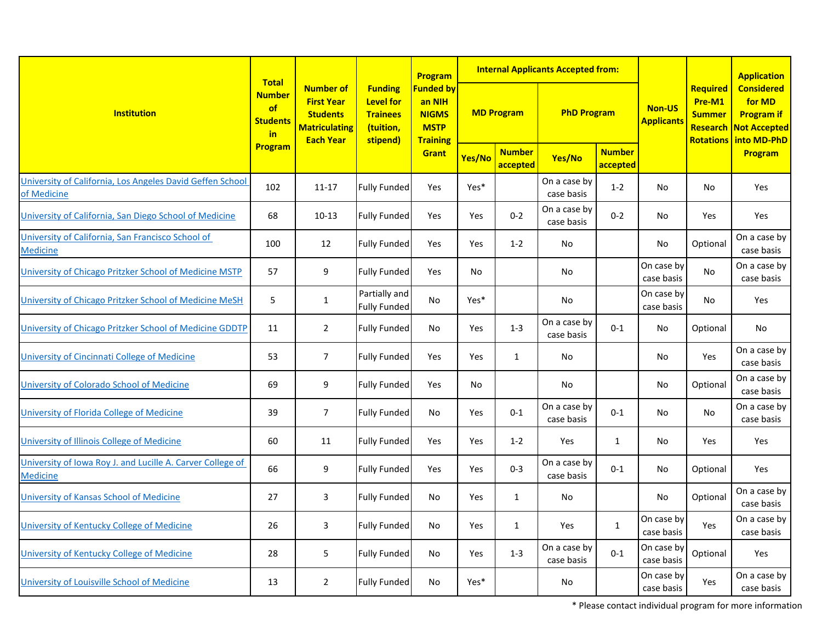|                                                                               | <b>Total</b>                                 |                                                                                                      |                                                                                | Program                                                                      |                   |                           | <b>Internal Applicants Accepted from:</b> |                           |                             | <b>Application</b>                                                  |                                                                                 |
|-------------------------------------------------------------------------------|----------------------------------------------|------------------------------------------------------------------------------------------------------|--------------------------------------------------------------------------------|------------------------------------------------------------------------------|-------------------|---------------------------|-------------------------------------------|---------------------------|-----------------------------|---------------------------------------------------------------------|---------------------------------------------------------------------------------|
| <b>Institution</b>                                                            | <b>Number</b><br>of<br><b>Students</b><br>in | <b>Number of</b><br><b>First Year</b><br><b>Students</b><br><b>Matriculating</b><br><b>Each Year</b> | <b>Funding</b><br><b>Level for</b><br><b>Trainees</b><br>(tuition,<br>stipend) | <b>Funded by</b><br>an NIH<br><b>NIGMS</b><br><b>MSTP</b><br><b>Training</b> | <b>MD Program</b> |                           | <b>PhD Program</b>                        |                           | Non-US<br><b>Applicants</b> | Required<br>Pre-M1<br><b>Summer</b><br>Research<br><b>Rotations</b> | <b>Considered</b><br>for MD<br><b>Program if</b><br>Not Accepted<br>into MD-PhD |
|                                                                               | Program                                      |                                                                                                      |                                                                                | Grant                                                                        | Yes/No            | <b>Number</b><br>accepted | Yes/No                                    | <b>Number</b><br>accepted |                             |                                                                     | Program                                                                         |
| University of California, Los Angeles David Geffen School<br>of Medicine      | 102                                          | $11 - 17$                                                                                            | Fully Funded                                                                   | Yes                                                                          | Yes*              |                           | On a case by<br>case basis                | $1 - 2$                   | No                          | <b>No</b>                                                           | Yes                                                                             |
| University of California, San Diego School of Medicine                        | 68                                           | $10-13$                                                                                              | <b>Fully Funded</b>                                                            | Yes                                                                          | Yes               | $0 - 2$                   | On a case by<br>case basis                | $0 - 2$                   | No                          | Yes                                                                 | Yes                                                                             |
| University of California, San Francisco School of<br><b>Medicine</b>          | 100                                          | 12                                                                                                   | <b>Fully Funded</b>                                                            | Yes                                                                          | Yes               | $1 - 2$                   | No                                        |                           | No                          | Optional                                                            | On a case by<br>case basis                                                      |
| University of Chicago Pritzker School of Medicine MSTP                        | 57                                           | 9                                                                                                    | <b>Fully Funded</b>                                                            | Yes                                                                          | No                |                           | No                                        |                           | On case by<br>case basis    | <b>No</b>                                                           | On a case by<br>case basis                                                      |
| University of Chicago Pritzker School of Medicine MeSH                        | 5                                            | $\mathbf{1}$                                                                                         | Partially and<br><b>Fully Funded</b>                                           | <b>No</b>                                                                    | Yes*              |                           | No                                        |                           | On case by<br>case basis    | <b>No</b>                                                           | Yes                                                                             |
| University of Chicago Pritzker School of Medicine GDDTP                       | 11                                           | $\overline{2}$                                                                                       | <b>Fully Funded</b>                                                            | No                                                                           | Yes               | $1 - 3$                   | On a case by<br>case basis                | $0 - 1$                   | No                          | Optional                                                            | No                                                                              |
| University of Cincinnati College of Medicine                                  | 53                                           | $\overline{7}$                                                                                       | <b>Fully Funded</b>                                                            | Yes                                                                          | Yes               | 1                         | No                                        |                           | No                          | Yes                                                                 | On a case by<br>case basis                                                      |
| University of Colorado School of Medicine                                     | 69                                           | 9                                                                                                    | <b>Fully Funded</b>                                                            | Yes                                                                          | No                |                           | No                                        |                           | No                          | Optional                                                            | On a case by<br>case basis                                                      |
| University of Florida College of Medicine                                     | 39                                           | $\overline{7}$                                                                                       | <b>Fully Funded</b>                                                            | No                                                                           | Yes               | $0 - 1$                   | On a case by<br>case basis                | $0 - 1$                   | <b>No</b>                   | <b>No</b>                                                           | On a case by<br>case basis                                                      |
| University of Illinois College of Medicine                                    | 60                                           | 11                                                                                                   | <b>Fully Funded</b>                                                            | Yes                                                                          | Yes               | $1 - 2$                   | Yes                                       | $\mathbf{1}$              | No                          | Yes                                                                 | Yes                                                                             |
| University of Iowa Roy J. and Lucille A. Carver College of<br><b>Medicine</b> | 66                                           | 9                                                                                                    | <b>Fully Funded</b>                                                            | Yes                                                                          | Yes               | $0 - 3$                   | On a case by<br>case basis                | $0 - 1$                   | No                          | Optional                                                            | Yes                                                                             |
| University of Kansas School of Medicine                                       | 27                                           | 3                                                                                                    | <b>Fully Funded</b>                                                            | No                                                                           | Yes               | $\mathbf{1}$              | No                                        |                           | No                          | Optional                                                            | On a case by<br>case basis                                                      |
| University of Kentucky College of Medicine                                    | 26                                           | 3                                                                                                    | Fully Funded                                                                   | No                                                                           | Yes               | $\mathbf{1}$              | Yes                                       | $\mathbf{1}$              | On case by<br>case basis    | Yes                                                                 | On a case by<br>case basis                                                      |
| University of Kentucky College of Medicine                                    | 28                                           | 5                                                                                                    | <b>Fully Funded</b>                                                            | No                                                                           | Yes               | $1 - 3$                   | On a case by<br>case basis                | $0 - 1$                   | On case by<br>case basis    | Optional                                                            | Yes                                                                             |
| University of Louisville School of Medicine                                   | 13                                           | $\overline{2}$                                                                                       | <b>Fully Funded</b>                                                            | No                                                                           | Yes*              |                           | No                                        |                           | On case by<br>case basis    | Yes                                                                 | On a case by<br>case basis                                                      |

\* Please contact individual program for more information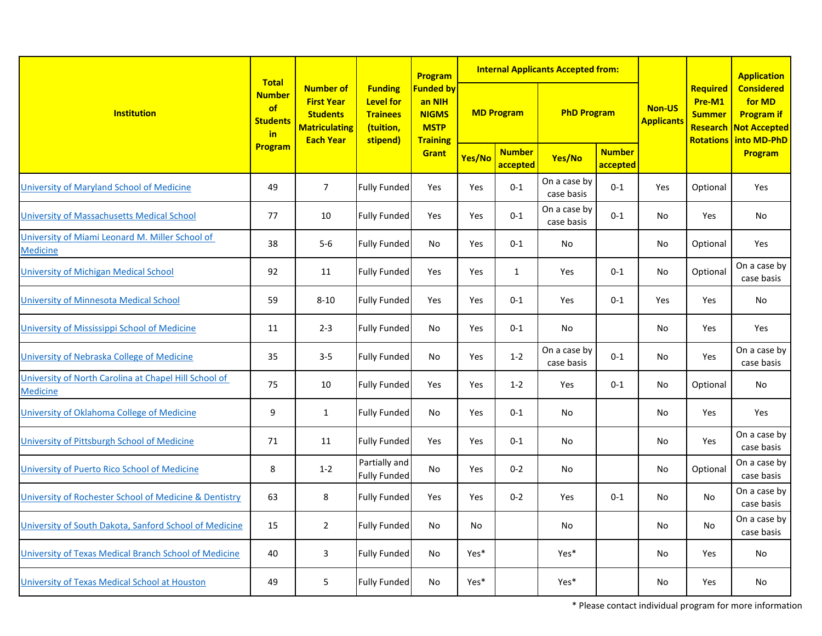| <b>Institution</b>                                                       | <b>Total</b>                                 |                                                                                                      |                                                                                | Program                                                                               | <b>Internal Applicants Accepted from:</b> |                           |                            |                           |                                    |                                                         | <b>Application</b>                                                                              |
|--------------------------------------------------------------------------|----------------------------------------------|------------------------------------------------------------------------------------------------------|--------------------------------------------------------------------------------|---------------------------------------------------------------------------------------|-------------------------------------------|---------------------------|----------------------------|---------------------------|------------------------------------|---------------------------------------------------------|-------------------------------------------------------------------------------------------------|
|                                                                          | <b>Number</b><br>of<br><b>Students</b><br>in | <b>Number of</b><br><b>First Year</b><br><b>Students</b><br><b>Matriculating</b><br><b>Each Year</b> | <b>Funding</b><br><b>Level for</b><br><b>Trainees</b><br>(tuition,<br>stipend) | <b>Funded by</b><br>an NIH<br><b>NIGMS</b><br><b>MSTP</b><br><b>Training</b><br>Grant | <b>MD Program</b>                         |                           | <b>PhD Program</b>         |                           | <b>Non-US</b><br><b>Applicants</b> | Required<br>Pre-M1<br><b>Summer</b><br><b>Rotations</b> | <b>Considered</b><br>for MD<br><b>Program if</b><br><b>Research Not Accepted</b><br>into MD-PhD |
|                                                                          | Program                                      |                                                                                                      |                                                                                |                                                                                       | Yes/No                                    | <b>Number</b><br>accepted | Yes/No                     | <b>Number</b><br>accepted |                                    |                                                         | <b>Program</b>                                                                                  |
| University of Maryland School of Medicine                                | 49                                           | $\overline{7}$                                                                                       | <b>Fully Funded</b>                                                            | Yes                                                                                   | Yes                                       | $0 - 1$                   | On a case by<br>case basis | $0 - 1$                   | Yes                                | Optional                                                | Yes                                                                                             |
| <b>University of Massachusetts Medical School</b>                        | 77                                           | 10                                                                                                   | Fully Funded                                                                   | Yes                                                                                   | Yes                                       | $0 - 1$                   | On a case by<br>case basis | $0 - 1$                   | No                                 | Yes                                                     | No                                                                                              |
| University of Miami Leonard M. Miller School of<br><b>Medicine</b>       | 38                                           | $5-6$                                                                                                | <b>Fully Funded</b>                                                            | No                                                                                    | Yes                                       | $0 - 1$                   | No                         |                           | No                                 | Optional                                                | Yes                                                                                             |
| <b>University of Michigan Medical School</b>                             | 92                                           | 11                                                                                                   | Fully Funded                                                                   | Yes                                                                                   | Yes                                       | $\mathbf{1}$              | Yes                        | $0 - 1$                   | No                                 | Optional                                                | On a case by<br>case basis                                                                      |
| University of Minnesota Medical School                                   | 59                                           | $8 - 10$                                                                                             | <b>Fully Funded</b>                                                            | Yes                                                                                   | Yes                                       | $0 - 1$                   | Yes                        | $0 - 1$                   | Yes                                | Yes                                                     | No                                                                                              |
| University of Mississippi School of Medicine                             | 11                                           | $2 - 3$                                                                                              | Fully Funded                                                                   | No                                                                                    | Yes                                       | $0 - 1$                   | No                         |                           | No                                 | Yes                                                     | Yes                                                                                             |
| University of Nebraska College of Medicine                               | 35                                           | $3 - 5$                                                                                              | <b>Fully Funded</b>                                                            | No                                                                                    | Yes                                       | $1 - 2$                   | On a case by<br>case basis | $0 - 1$                   | No                                 | Yes                                                     | On a case by<br>case basis                                                                      |
| University of North Carolina at Chapel Hill School of<br><b>Medicine</b> | 75                                           | 10                                                                                                   | Fully Funded                                                                   | Yes                                                                                   | Yes                                       | $1 - 2$                   | Yes                        | $0 - 1$                   | No                                 | Optional                                                | No                                                                                              |
| University of Oklahoma College of Medicine                               | 9                                            | $\mathbf{1}$                                                                                         | <b>Fully Funded</b>                                                            | No                                                                                    | Yes                                       | $0-1$                     | No                         |                           | No                                 | Yes                                                     | Yes                                                                                             |
| University of Pittsburgh School of Medicine                              | 71                                           | 11                                                                                                   | Fully Funded                                                                   | Yes                                                                                   | Yes                                       | $0 - 1$                   | No                         |                           | No                                 | Yes                                                     | On a case by<br>case basis                                                                      |
| University of Puerto Rico School of Medicine                             | 8                                            | $1 - 2$                                                                                              | Partially and<br><b>Fully Funded</b>                                           | No                                                                                    | Yes                                       | $0 - 2$                   | No                         |                           | No                                 | Optional                                                | On a case by<br>case basis                                                                      |
| University of Rochester School of Medicine & Dentistry                   | 63                                           | 8                                                                                                    | <b>Fully Funded</b>                                                            | Yes                                                                                   | Yes                                       | $0 - 2$                   | Yes                        | $0 - 1$                   | No                                 | No                                                      | On a case by<br>case basis                                                                      |
| University of South Dakota, Sanford School of Medicine                   | 15                                           | $\overline{2}$                                                                                       | Fully Funded                                                                   | No                                                                                    | No                                        |                           | No                         |                           | No                                 | No                                                      | On a case by<br>case basis                                                                      |
| University of Texas Medical Branch School of Medicine                    | 40                                           | $\mathbf{3}$                                                                                         | Fully Funded                                                                   | No                                                                                    | Yes*                                      |                           | Yes*                       |                           | No                                 | Yes                                                     | No                                                                                              |
| University of Texas Medical School at Houston                            | 49                                           | 5                                                                                                    | <b>Fully Funded</b>                                                            | No                                                                                    | Yes*                                      |                           | Yes*                       |                           | No                                 | Yes                                                     | No                                                                                              |